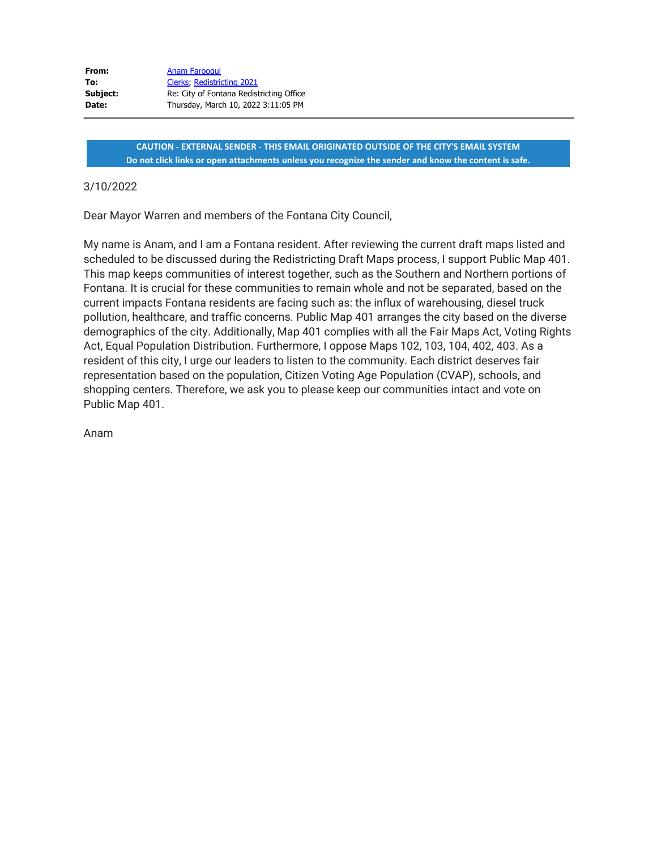| From:    | <b>Anam Farooqui</b>                     |
|----------|------------------------------------------|
| To:      | Clerks, Redistricting 2021               |
| Subject: | Re: City of Fontana Redistricting Office |
| Date:    | Thursday, March 10, 2022 3:11:05 PM      |

**CAUTION - EXTERNAL SENDER - THIS EMAIL ORIGINATED OUTSIDE OF THE CITY'S EMAIL SYSTEM Do not click links or open attachments unless you recognize the sender and know the content is safe.**

## 3/10/2022

Dear Mayor Warren and members of the Fontana City Council,

My name is Anam, and I am a Fontana resident. After reviewing the current draft maps listed and scheduled to be discussed during the Redistricting Draft Maps process, I support Public Map 401. This map keeps communities of interest together, such as the Southern and Northern portions of Fontana. It is crucial for these communities to remain whole and not be separated, based on the current impacts Fontana residents are facing such as: the influx of warehousing, diesel truck pollution, healthcare, and traffic concerns. Public Map 401 arranges the city based on the diverse demographics of the city. Additionally, Map 401 complies with all the Fair Maps Act, Voting Rights Act, Equal Population Distribution. Furthermore, I oppose Maps 102, 103, 104, 402, 403. As a resident of this city, I urge our leaders to listen to the community. Each district deserves fair representation based on the population, Citizen Voting Age Population (CVAP), schools, and shopping centers. Therefore, we ask you to please keep our communities intact and vote on Public Map 401.

Anam